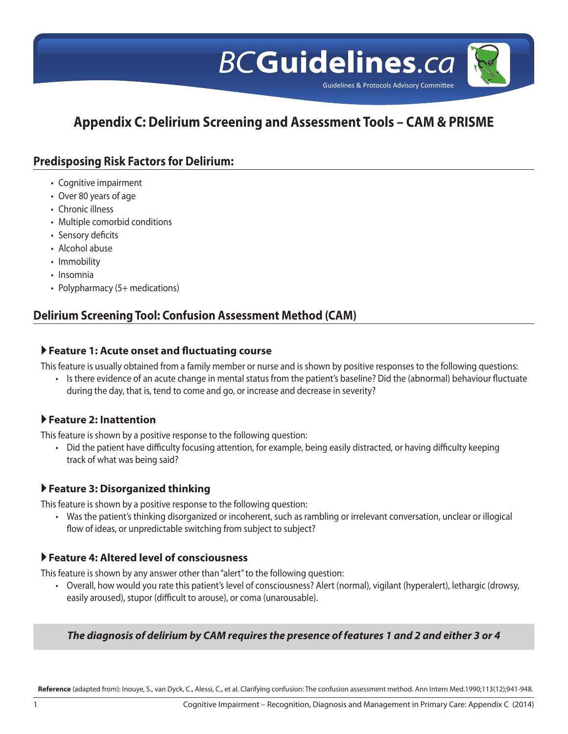

# **Appendix C: Delirium Screening and Assessment Tools – CAM & PRISME**

## **Predisposing Risk Factors for Delirium:**

- Cognitive impairment
- Over 80 years of age
- Chronic illness
- Multiple comorbid conditions
- Sensory deficits
- Alcohol abuse
- Immobility
- • Insomnia
- Polypharmacy (5+ medications)

# **Delirium Screening Tool: Confusion Assessment Method (CAM)**

#### **Feature 1: Acute onset and fluctuating course**

This feature is usually obtained from a family member or nurse and is shown by positive responses to the following questions:

• Is there evidence of an acute change in mental status from the patient's baseline? Did the (abnormal) behaviour fluctuate during the day, that is, tend to come and go, or increase and decrease in severity?

## **Feature 2: Inattention**

This feature is shown by a positive response to the following question:

• Did the patient have difficulty focusing attention, for example, being easily distracted, or having difficulty keeping track of what was being said?

## **Feature 3: Disorganized thinking**

This feature is shown by a positive response to the following question:

• Was the patient's thinking disorganized or incoherent, such as rambling or irrelevant conversation, unclear or illogical flow of ideas, or unpredictable switching from subject to subject?

## **Feature 4: Altered level of consciousness**

This feature is shown by any answer other than"alert"to the following question:

• Overall, how would you rate this patient's level of consciousness? Alert (normal), vigilant (hyperalert), lethargic (drowsy, easily aroused), stupor (difficult to arouse), or coma (unarousable).

#### *The diagnosis of delirium by CAM requires the presence of features 1 and 2 and either 3 or 4*

**Reference** (adapted from): Inouye, S., van Dyck, C., Alessi, C., et al. Clarifying confusion: The confusion assessment method. Ann Intern Med.1990;113(12);941-948.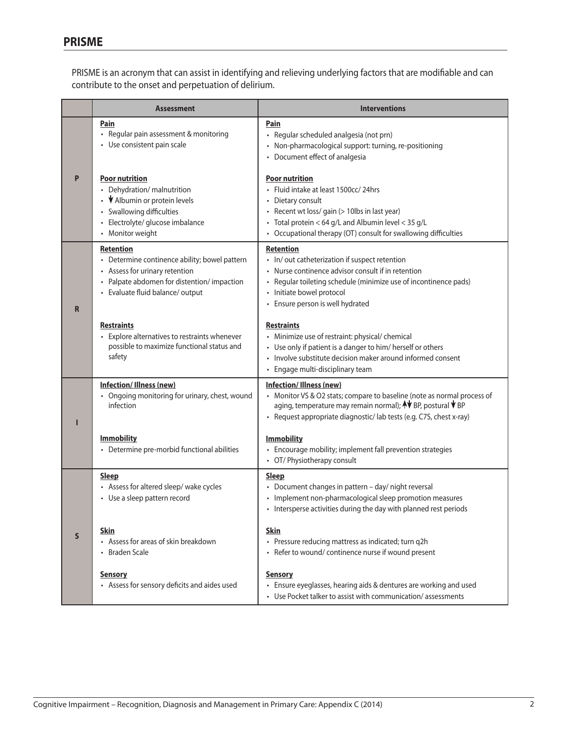PRISME is an acronym that can assist in identifying and relieving underlying factors that are modifiable and can contribute to the onset and perpetuation of delirium.

|   | <b>Assessment</b>                                                                                                                                                                     | <b>Interventions</b>                                                                                                                                                                                                                                          |
|---|---------------------------------------------------------------------------------------------------------------------------------------------------------------------------------------|---------------------------------------------------------------------------------------------------------------------------------------------------------------------------------------------------------------------------------------------------------------|
|   | Pain<br>• Regular pain assessment & monitoring<br>• Use consistent pain scale                                                                                                         | Pain<br>· Regular scheduled analgesia (not prn)<br>• Non-pharmacological support: turning, re-positioning<br>• Document effect of analgesia                                                                                                                   |
| P | <b>Poor nutrition</b><br>• Dehydration/ malnutrition<br>• V Albumin or protein levels<br>• Swallowing difficulties<br>· Electrolyte/ glucose imbalance<br>• Monitor weight            | <b>Poor nutrition</b><br>• Fluid intake at least 1500cc/24hrs<br>• Dietary consult<br>• Recent wt loss/ gain (> 10lbs in last year)<br>• Total protein < 64 g/L and Albumin level < 35 g/L<br>• Occupational therapy (OT) consult for swallowing difficulties |
| R | <b>Retention</b><br>• Determine continence ability; bowel pattern<br>• Assess for urinary retention<br>• Palpate abdomen for distention/impaction<br>• Evaluate fluid balance/ output | <b>Retention</b><br>• In/out catheterization if suspect retention<br>• Nurse continence advisor consult if in retention<br>• Regular toileting schedule (minimize use of incontinence pads)<br>• Initiate bowel protocol<br>• Ensure person is well hydrated  |
|   | <b>Restraints</b><br>• Explore alternatives to restraints whenever<br>possible to maximize functional status and<br>safety                                                            | <b>Restraints</b><br>• Minimize use of restraint: physical/ chemical<br>• Use only if patient is a danger to him/ herself or others<br>• Involve substitute decision maker around informed consent<br>• Engage multi-disciplinary team                        |
| ı | <b>Infection/Illness (new)</b><br>• Ongoing monitoring for urinary, chest, wound<br>infection                                                                                         | Infection/Illness (new)<br>• Monitor VS & O2 stats; compare to baseline (note as normal process of<br>aging, temperature may remain normal); AV BP, postural V BP<br>• Request appropriate diagnostic/lab tests (e.g. C7S, chest x-ray)                       |
|   | <b>Immobility</b><br>• Determine pre-morbid functional abilities                                                                                                                      | <b>Immobility</b><br>• Encourage mobility; implement fall prevention strategies<br>• OT/ Physiotherapy consult                                                                                                                                                |
| S | <b>Sleep</b><br>• Assess for altered sleep/ wake cycles<br>• Use a sleep pattern record                                                                                               | <b>Sleep</b><br>• Document changes in pattern - day/ night reversal<br>• Implement non-pharmacological sleep promotion measures<br>• Intersperse activities during the day with planned rest periods                                                          |
|   | Skin<br>• Assess for areas of skin breakdown<br>• Braden Scale                                                                                                                        | <b>Skin</b><br>• Pressure reducing mattress as indicated; turn q2h<br>• Refer to wound/ continence nurse if wound present                                                                                                                                     |
|   | <b>Sensory</b><br>• Assess for sensory deficits and aides used                                                                                                                        | <b>Sensory</b><br>• Ensure eyeglasses, hearing aids & dentures are working and used<br>• Use Pocket talker to assist with communication/assessments                                                                                                           |